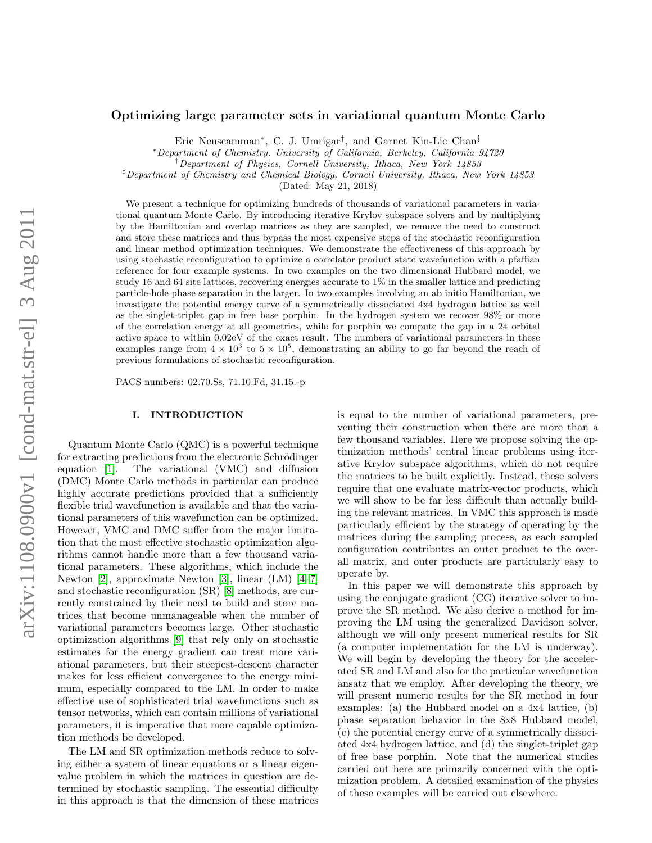## Optimizing large parameter sets in variational quantum Monte Carlo

Eric Neuscamman<sup>∗</sup> , C. J. Umrigar† , and Garnet Kin-Lic Chan‡

<sup>∗</sup>Department of Chemistry, University of California, Berkeley, California 94720

‡Department of Chemistry and Chemical Biology, Cornell University, Ithaca, New York 14853

(Dated: May 21, 2018)

We present a technique for optimizing hundreds of thousands of variational parameters in variational quantum Monte Carlo. By introducing iterative Krylov subspace solvers and by multiplying by the Hamiltonian and overlap matrices as they are sampled, we remove the need to construct and store these matrices and thus bypass the most expensive steps of the stochastic reconfiguration and linear method optimization techniques. We demonstrate the effectiveness of this approach by using stochastic reconfiguration to optimize a correlator product state wavefunction with a pfaffian reference for four example systems. In two examples on the two dimensional Hubbard model, we study 16 and 64 site lattices, recovering energies accurate to 1% in the smaller lattice and predicting particle-hole phase separation in the larger. In two examples involving an ab initio Hamiltonian, we investigate the potential energy curve of a symmetrically dissociated 4x4 hydrogen lattice as well as the singlet-triplet gap in free base porphin. In the hydrogen system we recover 98% or more of the correlation energy at all geometries, while for porphin we compute the gap in a 24 orbital active space to within 0.02eV of the exact result. The numbers of variational parameters in these examples range from  $4 \times 10^3$  to  $5 \times 10^5$ , demonstrating an ability to go far beyond the reach of previous formulations of stochastic reconfiguration.

PACS numbers: 02.70.Ss, 71.10.Fd, 31.15.-p

## I. INTRODUCTION

Quantum Monte Carlo (QMC) is a powerful technique for extracting predictions from the electronic Schrödinger equation [\[1\]](#page-4-0). The variational (VMC) and diffusion (DMC) Monte Carlo methods in particular can produce highly accurate predictions provided that a sufficiently flexible trial wavefunction is available and that the variational parameters of this wavefunction can be optimized. However, VMC and DMC suffer from the major limitation that the most effective stochastic optimization algorithms cannot handle more than a few thousand variational parameters. These algorithms, which include the Newton [\[2\]](#page-4-1), approximate Newton [\[3\]](#page-4-2), linear (LM) [\[4](#page-4-3)[–7\]](#page-4-4) and stochastic reconfiguration (SR) [\[8\]](#page-4-5) methods, are currently constrained by their need to build and store matrices that become unmanageable when the number of variational parameters becomes large. Other stochastic optimization algorithms [\[9\]](#page-4-6) that rely only on stochastic estimates for the energy gradient can treat more variational parameters, but their steepest-descent character makes for less efficient convergence to the energy minimum, especially compared to the LM. In order to make effective use of sophisticated trial wavefunctions such as tensor networks, which can contain millions of variational parameters, it is imperative that more capable optimization methods be developed.

The LM and SR optimization methods reduce to solving either a system of linear equations or a linear eigenvalue problem in which the matrices in question are determined by stochastic sampling. The essential difficulty in this approach is that the dimension of these matrices is equal to the number of variational parameters, preventing their construction when there are more than a few thousand variables. Here we propose solving the optimization methods' central linear problems using iterative Krylov subspace algorithms, which do not require the matrices to be built explicitly. Instead, these solvers require that one evaluate matrix-vector products, which we will show to be far less difficult than actually building the relevant matrices. In VMC this approach is made particularly efficient by the strategy of operating by the matrices during the sampling process, as each sampled configuration contributes an outer product to the overall matrix, and outer products are particularly easy to operate by.

In this paper we will demonstrate this approach by using the conjugate gradient (CG) iterative solver to improve the SR method. We also derive a method for improving the LM using the generalized Davidson solver, although we will only present numerical results for SR (a computer implementation for the LM is underway). We will begin by developing the theory for the accelerated SR and LM and also for the particular wavefunction ansatz that we employ. After developing the theory, we will present numeric results for the SR method in four examples: (a) the Hubbard model on a 4x4 lattice, (b) phase separation behavior in the 8x8 Hubbard model, (c) the potential energy curve of a symmetrically dissociated 4x4 hydrogen lattice, and (d) the singlet-triplet gap of free base porphin. Note that the numerical studies carried out here are primarily concerned with the optimization problem. A detailed examination of the physics of these examples will be carried out elsewhere.

<sup>†</sup>Department of Physics, Cornell University, Ithaca, New York 14853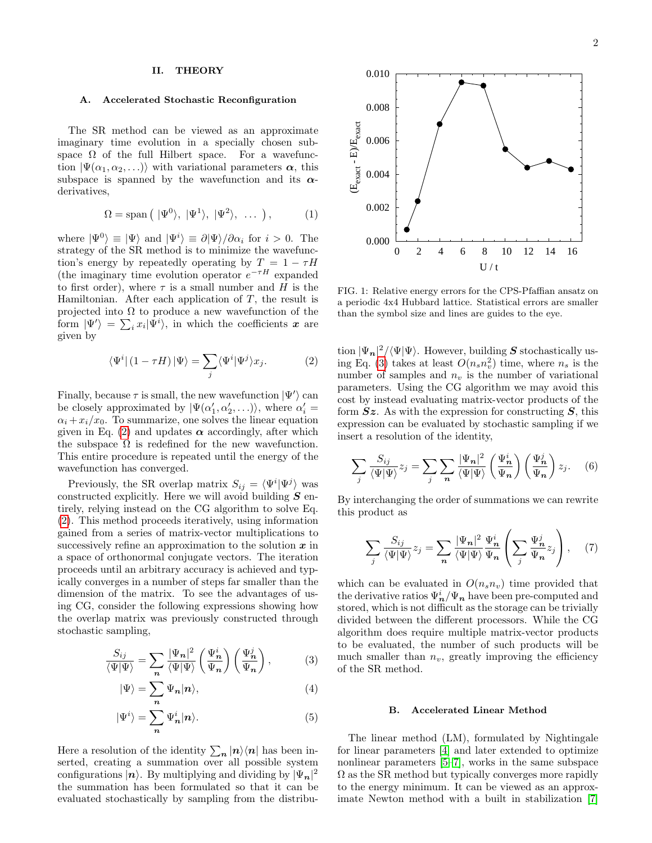# II. THEORY

## A. Accelerated Stochastic Reconfiguration

The SR method can be viewed as an approximate imaginary time evolution in a specially chosen subspace  $\Omega$  of the full Hilbert space. For a wavefunction  $|\Psi(\alpha_1, \alpha_2, \ldots)\rangle$  with variational parameters  $\alpha$ , this subspace is spanned by the wavefunction and its  $\alpha$ derivatives,

$$
\Omega = \text{span}\left(|\Psi^0\rangle, |\Psi^1\rangle, |\Psi^2\rangle, \dots\right),\tag{1}
$$

where  $|\Psi^0\rangle \equiv |\Psi\rangle$  and  $|\Psi^i\rangle \equiv \partial |\Psi\rangle / \partial \alpha_i$  for  $i > 0$ . The strategy of the SR method is to minimize the wavefunction's energy by repeatedly operating by  $T = 1 - \tau H$ (the imaginary time evolution operator  $e^{-\tau H}$  expanded to first order), where  $\tau$  is a small number and H is the Hamiltonian. After each application of  $T$ , the result is projected into  $\Omega$  to produce a new wavefunction of the form  $|\Psi'\rangle = \sum_i x_i |\Psi^i\rangle$ , in which the coefficients  $\boldsymbol{x}$  are given by

$$
\langle \Psi^i | (1 - \tau H) | \Psi \rangle = \sum_j \langle \Psi^i | \Psi^j \rangle x_j.
$$
 (2)

Finally, because  $\tau$  is small, the new wavefunction  $|\Psi'\rangle$  can be closely approximated by  $|\Psi(\alpha_1', \alpha_2', \ldots)\rangle$ , where  $\alpha_i' =$  $\alpha_i + x_i/x_0$ . To summarize, one solves the linear equation given in Eq. [\(2\)](#page-1-0) and updates  $\alpha$  accordingly, after which the subspace  $\Omega$  is redefined for the new wavefunction. This entire procedure is repeated until the energy of the wavefunction has converged.

Previously, the SR overlap matrix  $S_{ij} = \langle \Psi^i | \Psi^j \rangle$  was constructed explicitly. Here we will avoid building  $S$  entirely, relying instead on the CG algorithm to solve Eq. [\(2\)](#page-1-0). This method proceeds iteratively, using information gained from a series of matrix-vector multiplications to successively refine an approximation to the solution  $x$  in a space of orthonormal conjugate vectors. The iteration proceeds until an arbitrary accuracy is achieved and typically converges in a number of steps far smaller than the dimension of the matrix. To see the advantages of using CG, consider the following expressions showing how the overlap matrix was previously constructed through stochastic sampling,

$$
\frac{S_{ij}}{\langle\Psi|\Psi\rangle} = \sum_{n} \frac{|\Psi_n|^2}{\langle\Psi|\Psi\rangle} \left(\frac{\Psi_n^i}{\Psi_n}\right) \left(\frac{\Psi_n^j}{\Psi_n}\right),\tag{3}
$$

$$
|\Psi\rangle = \sum_{n} \Psi_{n} |n\rangle, \tag{4}
$$

$$
|\Psi^i\rangle = \sum_{\mathbf{n}} \Psi^i_{\mathbf{n}} |n\rangle. \tag{5}
$$

Here a resolution of the identity  $\sum_{n} |n\rangle\langle n|$  has been inserted, creating a summation over all possible system configurations  $|n\rangle$ . By multiplying and dividing by  $|\Psi_n|^2$ the summation has been formulated so that it can be evaluated stochastically by sampling from the distribu-



<span id="page-1-2"></span>FIG. 1: Relative energy errors for the CPS-Pfaffian ansatz on a periodic 4x4 Hubbard lattice. Statistical errors are smaller than the symbol size and lines are guides to the eye.

<span id="page-1-0"></span>tion  $|\Psi_{\mathbf{n}}|^2/\langle\Psi|\Psi\rangle$ . However, building **S** stochastically us-ing Eq. [\(3\)](#page-1-1) takes at least  $O(n_s n_v^2)$  time, where  $n_s$  is the number of samples and  $n_v$  is the number of variational parameters. Using the CG algorithm we may avoid this cost by instead evaluating matrix-vector products of the form  $Sz$ . As with the expression for constructing  $S$ , this expression can be evaluated by stochastic sampling if we insert a resolution of the identity,

$$
\sum_{j} \frac{S_{ij}}{\langle \Psi | \Psi \rangle} z_j = \sum_{j} \sum_{n} \frac{|\Psi_n|^2}{\langle \Psi | \Psi \rangle} \left( \frac{\Psi_n^i}{\Psi_n} \right) \left( \frac{\Psi_n^j}{\Psi_n} \right) z_j. \tag{6}
$$

By interchanging the order of summations we can rewrite this product as

$$
\sum_{j} \frac{S_{ij}}{\langle \Psi | \Psi \rangle} z_j = \sum_{n} \frac{|\Psi_n|^2}{\langle \Psi | \Psi \rangle} \frac{\Psi_n^i}{\Psi_n} \left( \sum_{j} \frac{\Psi_n^j}{\Psi_n} z_j \right), \quad (7)
$$

<span id="page-1-1"></span>which can be evaluated in  $O(n_s n_v)$  time provided that the derivative ratios  $\Psi_{\boldsymbol{n}}^i / \Psi_{\boldsymbol{n}}$  have been pre-computed and stored, which is not difficult as the storage can be trivially divided between the different processors. While the CG algorithm does require multiple matrix-vector products to be evaluated, the number of such products will be much smaller than  $n_v$ , greatly improving the efficiency of the SR method.

#### B. Accelerated Linear Method

The linear method (LM), formulated by Nightingale for linear parameters [\[4\]](#page-4-3) and later extended to optimize nonlinear parameters [\[5–](#page-4-7)[7\]](#page-4-4), works in the same subspace  $\Omega$  as the SR method but typically converges more rapidly to the energy minimum. It can be viewed as an approximate Newton method with a built in stabilization [\[7\]](#page-4-4)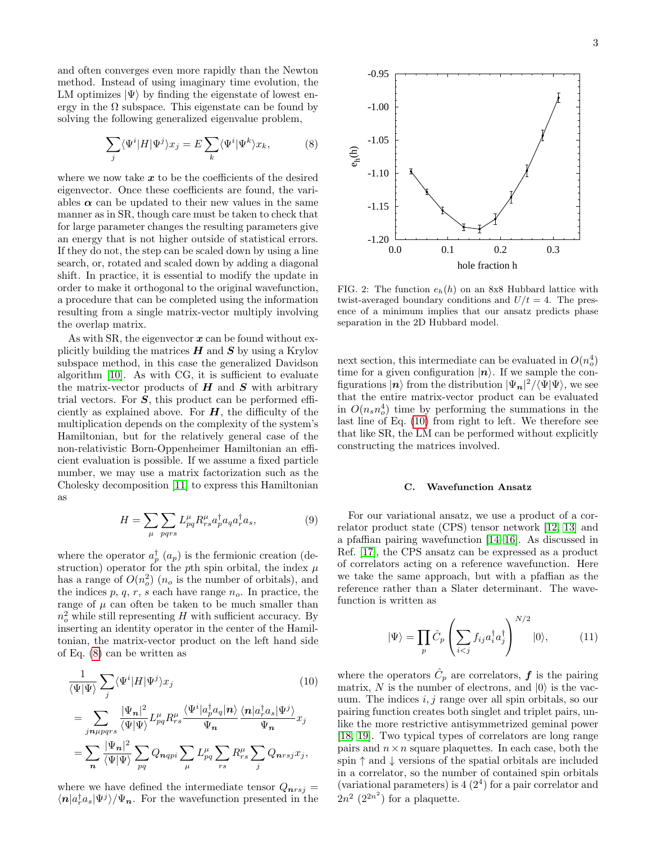and often converges even more rapidly than the Newton method. Instead of using imaginary time evolution, the LM optimizes  $|\Psi\rangle$  by finding the eigenstate of lowest energy in the  $\Omega$  subspace. This eigenstate can be found by solving the following generalized eigenvalue problem,

$$
\sum_{j} \langle \Psi^{i} | H | \Psi^{j} \rangle x_{j} = E \sum_{k} \langle \Psi^{i} | \Psi^{k} \rangle x_{k}, \tag{8}
$$

where we now take  $x$  to be the coefficients of the desired eigenvector. Once these coefficients are found, the variables  $\alpha$  can be updated to their new values in the same manner as in SR, though care must be taken to check that for large parameter changes the resulting parameters give an energy that is not higher outside of statistical errors. If they do not, the step can be scaled down by using a line search, or, rotated and scaled down by adding a diagonal shift. In practice, it is essential to modify the update in order to make it orthogonal to the original wavefunction, a procedure that can be completed using the information resulting from a single matrix-vector multiply involving the overlap matrix.

As with SR, the eigenvector  $x$  can be found without explicitly building the matrices  $H$  and  $S$  by using a Krylov subspace method, in this case the generalized Davidson algorithm [\[10\]](#page-4-8). As with CG, it is sufficient to evaluate the matrix-vector products of  $H$  and  $S$  with arbitrary trial vectors. For  $S$ , this product can be performed efficiently as explained above. For  $H$ , the difficulty of the multiplication depends on the complexity of the system's Hamiltonian, but for the relatively general case of the non-relativistic Born-Oppenheimer Hamiltonian an efficient evaluation is possible. If we assume a fixed particle number, we may use a matrix factorization such as the Cholesky decomposition [\[11\]](#page-4-9) to express this Hamiltonian as

$$
H = \sum_{\mu} \sum_{pqrs} L_{pq}^{\mu} R_{rs}^{\mu} a_p^{\dagger} a_q a_r^{\dagger} a_s, \qquad (9)
$$

where the operator  $a_p^{\dagger}$   $(a_p)$  is the fermionic creation (destruction) operator for the pth spin orbital, the index  $\mu$ has a range of  $O(n_o^2)$  ( $n_o$  is the number of orbitals), and the indices  $p, q, r, s$  each have range  $n<sub>o</sub>$ . In practice, the range of  $\mu$  can often be taken to be much smaller than  $n_o^2$  while still representing H with sufficient accuracy. By inserting an identity operator in the center of the Hamiltonian, the matrix-vector product on the left hand side of Eq. [\(8\)](#page-2-0) can be written as

$$
\frac{1}{\langle \Psi | \Psi \rangle} \sum_{j} \langle \Psi^{i} | H | \Psi^{j} \rangle x_{j} \qquad (10)
$$
\n
$$
= \sum_{j n \mu p q r s} \frac{|\Psi_{n}|^{2}}{\langle \Psi | \Psi \rangle} L_{pq}^{\mu} R_{rs}^{\mu} \frac{\langle \Psi^{i} | a_{p}^{\dagger} a_{q} | n \rangle}{\Psi_{n}} \frac{\langle n | a_{r}^{\dagger} a_{s} | \Psi^{j} \rangle}{\Psi_{n}} x_{j}
$$
\n
$$
= \sum_{n} \frac{|\Psi_{n}|^{2}}{\langle \Psi | \Psi \rangle} \sum_{pq} Q_{n q p i} \sum_{\mu} L_{pq}^{\mu} \sum_{rs} R_{rs}^{\mu} \sum_{j} Q_{n r s j} x_{j},
$$

where we have defined the intermediate tensor  $Q_{nrsj} =$  $\langle n|a_r^{\dagger}a_s|\Psi^j\rangle/\Psi_n$ . For the wavefunction presented in the

<span id="page-2-0"></span>

<span id="page-2-2"></span>FIG. 2: The function  $e_h(h)$  on an 8x8 Hubbard lattice with twist-averaged boundary conditions and  $U/t = 4$ . The presence of a minimum implies that our ansatz predicts phase separation in the 2D Hubbard model.

next section, this intermediate can be evaluated in  $O(n_o^4)$ time for a given configuration  $|n\rangle$ . If we sample the configurations  $|n\rangle$  from the distribution  $|\Psi_n|^2/\langle\Psi|\Psi\rangle$ , we see that the entire matrix-vector product can be evaluated in  $O(n_s n_o^4)$  time by performing the summations in the last line of Eq. [\(10\)](#page-2-1) from right to left. We therefore see that like SR, the LM can be performed without explicitly constructing the matrices involved.

# C. Wavefunction Ansatz

For our variational ansatz, we use a product of a correlator product state (CPS) tensor network [\[12,](#page-4-10) [13\]](#page-4-11) and a pfaffian pairing wavefunction [\[14–](#page-4-12)[16\]](#page-4-13). As discussed in Ref. [\[17\]](#page-4-14), the CPS ansatz can be expressed as a product of correlators acting on a reference wavefunction. Here we take the same approach, but with a pfaffian as the reference rather than a Slater determinant. The wavefunction is written as

$$
|\Psi\rangle = \prod_{p} \hat{C}_p \left( \sum_{i < j} f_{ij} a_i^\dagger a_j^\dagger \right)^{N/2} |0\rangle,\tag{11}
$$

<span id="page-2-1"></span>where the operators  $\hat{C}_p$  are correlators,  $\boldsymbol{f}$  is the pairing matrix, N is the number of electrons, and  $|0\rangle$  is the vacuum. The indices  $i, j$  range over all spin orbitals, so our pairing function creates both singlet and triplet pairs, unlike the more restrictive antisymmetrized geminal power [\[18,](#page-4-15) [19\]](#page-4-16). Two typical types of correlators are long range pairs and  $n \times n$  square plaquettes. In each case, both the spin  $\uparrow$  and  $\downarrow$  versions of the spatial orbitals are included in a correlator, so the number of contained spin orbitals (variational parameters) is  $4(2^4)$  for a pair correlator and  $2n^2$   $(2^{2n^2})$  for a plaquette.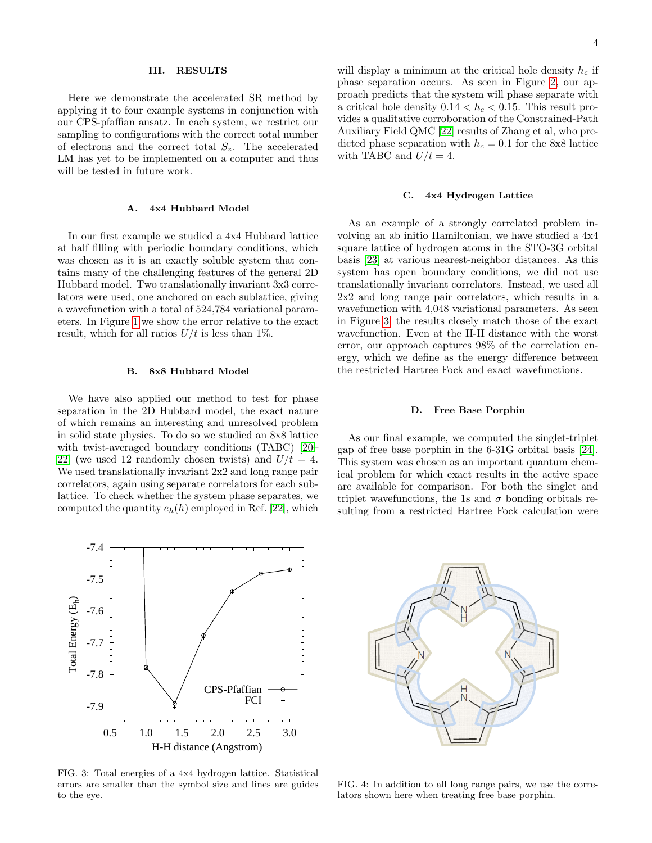## III. RESULTS

Here we demonstrate the accelerated SR method by applying it to four example systems in conjunction with our CPS-pfaffian ansatz. In each system, we restrict our sampling to configurations with the correct total number of electrons and the correct total  $S_z$ . The accelerated LM has yet to be implemented on a computer and thus will be tested in future work.

### A. 4x4 Hubbard Model

In our first example we studied a 4x4 Hubbard lattice at half filling with periodic boundary conditions, which was chosen as it is an exactly soluble system that contains many of the challenging features of the general 2D Hubbard model. Two translationally invariant 3x3 correlators were used, one anchored on each sublattice, giving a wavefunction with a total of 524,784 variational parameters. In Figure [1](#page-1-2) we show the error relative to the exact result, which for all ratios  $U/t$  is less than 1%.

#### B. 8x8 Hubbard Model

We have also applied our method to test for phase separation in the 2D Hubbard model, the exact nature of which remains an interesting and unresolved problem in solid state physics. To do so we studied an 8x8 lattice with twist-averaged boundary conditions (TABC) [\[20–](#page-4-17) 22 (we used 12 randomly chosen twists) and  $U/t = 4$ . We used translationally invariant  $2x2$  and long range pair correlators, again using separate correlators for each sublattice. To check whether the system phase separates, we computed the quantity  $e_h(h)$  employed in Ref. [\[22\]](#page-4-18), which

will display a minimum at the critical hole density  $h_c$  if phase separation occurs. As seen in Figure [2,](#page-2-2) our approach predicts that the system will phase separate with a critical hole density  $0.14 < h<sub>c</sub> < 0.15$ . This result provides a qualitative corroboration of the Constrained-Path Auxiliary Field QMC [\[22\]](#page-4-18) results of Zhang et al, who predicted phase separation with  $h_c = 0.1$  for the 8x8 lattice with TABC and  $U/t = 4$ .

#### C. 4x4 Hydrogen Lattice

As an example of a strongly correlated problem involving an ab initio Hamiltonian, we have studied a 4x4 square lattice of hydrogen atoms in the STO-3G orbital basis [\[23\]](#page-4-19) at various nearest-neighbor distances. As this system has open boundary conditions, we did not use translationally invariant correlators. Instead, we used all 2x2 and long range pair correlators, which results in a wavefunction with 4,048 variational parameters. As seen in Figure [3,](#page-3-0) the results closely match those of the exact wavefunction. Even at the H-H distance with the worst error, our approach captures 98% of the correlation energy, which we define as the energy difference between the restricted Hartree Fock and exact wavefunctions.

### D. Free Base Porphin

As our final example, we computed the singlet-triplet gap of free base porphin in the 6-31G orbital basis [\[24\]](#page-4-20). This system was chosen as an important quantum chemical problem for which exact results in the active space are available for comparison. For both the singlet and triplet wavefunctions, the 1s and  $\sigma$  bonding orbitals resulting from a restricted Hartree Fock calculation were



<span id="page-3-0"></span>FIG. 3: Total energies of a 4x4 hydrogen lattice. Statistical errors are smaller than the symbol size and lines are guides to the eye.



<span id="page-3-1"></span>FIG. 4: In addition to all long range pairs, we use the correlators shown here when treating free base porphin.